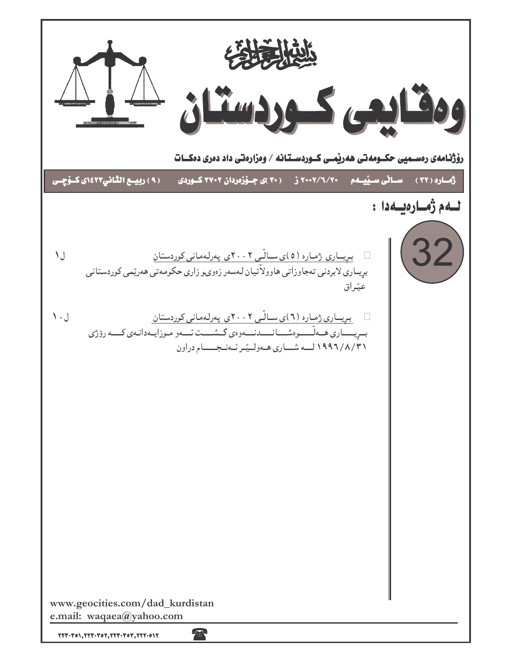| رۆژنـامەی رەســمیی حکــومەتی ھەریمــی کــوردســتـانـه / وەزارەتـی داد دەری دەكــات                                                                                                                                                                                                                                                                        |                                       |
|-----------------------------------------------------------------------------------------------------------------------------------------------------------------------------------------------------------------------------------------------------------------------------------------------------------------------------------------------------------|---------------------------------------|
| ( ۹ ) ربيسع الثاني١٤٢٣، کـۆچـى<br>347/7/7<br>( ۳۰ )ی جــۆزەردان ۲۷۰۲ کــوردی                                                                                                                                                                                                                                                                              | <u>ساڻي سيٽي</u> مم<br>رُهساره ( ۳۲ ) |
|                                                                                                                                                                                                                                                                                                                                                           | لـــهم ژمـــارەيـــهدا :              |
| <u>بریساری ژماره (٥)ی سالّی ۲۰۰۲ی پهرلهمانی کوردستان</u><br>ل ۱<br>بریــاری لابردنی تەجاوزاتی هاوولاًتیان لـهسەر زەوىـو زاری حکومـەتی هەرێمی کوردستانی<br>عيّراق                                                                                                                                                                                          | 32                                    |
| <u>بریساری ژماره (٦)ی سالّی ٢٠٠٢ی پهرلهمانی کوردستان</u><br>ل ۱۰<br>بسريسساري همهلسسوهشسانسمدنسموهي گسشسمت ئسمو موزايمدانمي كسمه روزي<br>١٩٩٦/٨/٣١ لمه شسارى هه وليترئه نجسهام دراون                                                                                                                                                                      |                                       |
|                                                                                                                                                                                                                                                                                                                                                           |                                       |
|                                                                                                                                                                                                                                                                                                                                                           |                                       |
| www.geocities.com/dad_kurdistan<br>e.mail: waqaea@yahoo.com<br><b>100</b><br>$\textbf{Y}\textbf{Y}\textbf{Y}\cdot\textbf{Y}\textbf{0}\textbf{1}, \textbf{Y}\textbf{Y}\textbf{Y}\cdot\textbf{Y}\textbf{0}\textbf{Y}, \textbf{Y}\textbf{Y}\textbf{Y}\cdot\textbf{Y}\textbf{0}\textbf{1}, \textbf{Y}\textbf{Y}\textbf{Y}\cdot\textbf{0}\textbf{1}\textbf{Y}$ |                                       |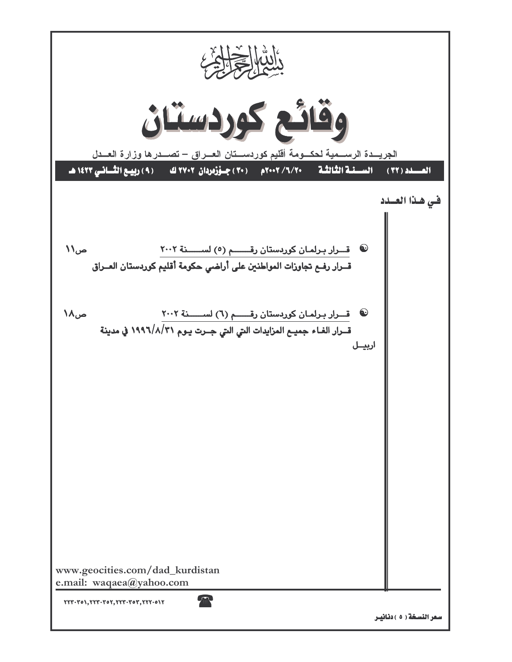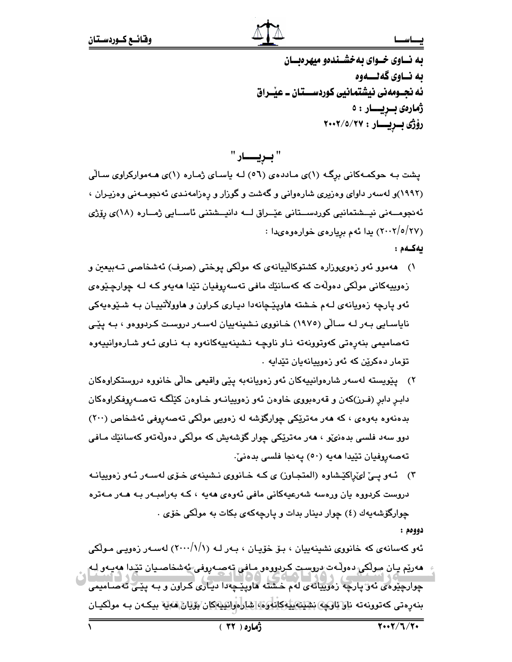به نساوی خسوای به خشسندهو میهر دیسان ىه نــاوى گەنــــەوە ئه نجــومەنى نيشتمانيى كوردســـتان ــ عيْــراق ژمارەى بىريسار : ە رۆژى بىريسار : ٢٠٠٢/٥/٢٧

" بسريسســار "

پشت بـه حوکمـهکانی برِگـه (۱)ی مـاددهی (٥٦) لـه یاسـای ژمـاره (۱)ی هـهموارکراوی سـالّی (۱۹۹۲)و لهسهر داوای وهزیری شارهوانی و گهشت و گوزار و رِهزامهندی ئهنجومـهنی وهزیـران ، ئەنجومــەنى نيــشتمانيي كوردســتانى عێــراق لـــە دانيــشتنى ئاســايي ژمــارە (١٨)ى رۆژى (٢٠٠٢/٥/٢٧) يدا ئهم بريارهي خوارهوهيدا :

ىەكـەم:

يصاسحا

- ۱) هەموو ئەو زەوىھوزارە كشتوكالْپيانەي كە مولْكى پوختى (صرف) ئەشخاصىي تـەبپعين و زەوپيەكانى مولّكى دەولّەت كە كەسانێك مافى تەسەروفيان تێدا ھەيەو كـﻪ ﻟـﻪ ﭼﻮﺍﺭﭼێﻮﻩﻯ ئهو يارچه زهويانهي لـهم خـشته هاويێچانهدا ديـاري كـراون و هاوولأتييـان بـه شـێوهيهكي نایاسـایی بـهر لـه سـالّی (١٩٧٥) خـانوری نـشینهییان لهسـهر دروسـت کـردووهو ، بـه ییّـی تەصامىمى بنەرەتى كەوتوونەتە نـاو ناوچـە نـشىنەييەكانەوە بـە نـاوى ئـەو شـارەوانىييەوە تۆمار دەكرێن كە ئەو زەوپپانەيان تێداپە ٠
- ۲) پێویسته لهسهر شارهوانیپهکان ئهو زهویانهبه پێی واقیعی حالّی خانووه دروستکراوهکان دابـر دابر (فـرز)کهن و قهرهبووی خاوهن ئهو زهوییانـهو خـاوهن کێڵگـه تهصـهروفکراوهکان بدەنەوە بەوەي ، كە ھەر مەتریكى چوارگۆشە لە زەويى مولكى تەصەروفى ئەشخاص (٢٠٠) دوو سەد فلسى بدەنى، ، ھەر مەترىكى چوار گۆشەيش كە مولكى دەولەتەو كەسانىڭ مـافى تەصەروفيان تێيدا ھەيە (٥٠) يەنجا فلسى بدەنىٚ.
- ۳) ئــهو يــيّ لىمّراكيّـشاوه (المتجـاوز) ى كـه خـانووى نـشينهى خــوّى لهســهر ئــهو زهوييانــه دروست کردووه یان ورەسه شەرعیەکانی مافی ئەوەی ھەیە ، کـه بەرامبـەر بـه ھـەر مـەترە چوارگۆشەپەك (٤) چوار دىنار بدات و يارچەكەي بكات بە مولكى خۆي .

دوومم :

ئەو كەسانەي كە خانووي نشينەييان ، بـۆ خۆيـان ، بـەر لـە (١//١/١٠٠) لەسـەر زەويـي مـولْكي هەريم يان مولاكى دەولّەت دروست كردووەو مافى تەصـەروفى ئەشخاصـيان تيدا ھەيـەو لـە چوارچێوەی ئەۋ پارچە زەوپپانەی لەم خشتە ھاوپێچەدا دىيارى كراون و بـە يێـى تەصـامىمى بنەرەتى كەتورنەتە ناۋ ئاۋچە ئشلىلەيلەكانلوۋە شارەرانىيەكان بۆيان ھەيە بىكەن بە مولكيـان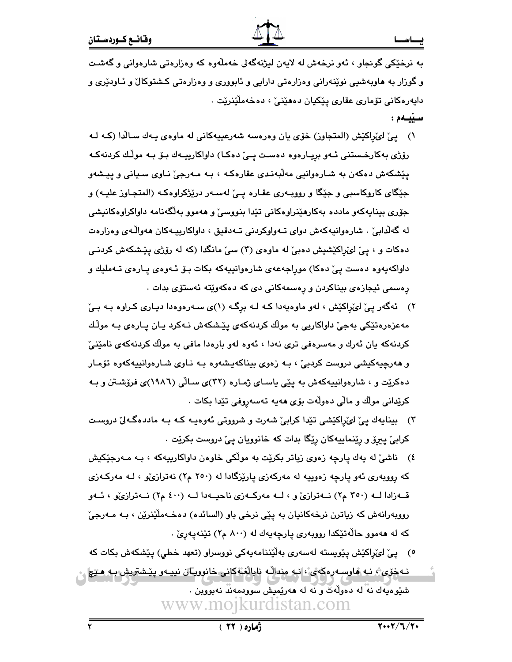به نرخێکي گونجاو ، ئەو نرخەش لە لايەن ليژنەگەلى خەملّەوە کە وەزارەتى شارەوانى و گەشت و گوزار به هاوبهشیی نوێنهرانی وهزارهتی دارایی و ئابووری و وهزارهتی کشتوکال و ئـاودێری و دايەرەكانى تۆمارى عقارى يێكيان دەھێنىٚ ، دەخەملٚێنرێت . سىيەم :

- ١) یی ّ لویّ(لکیّش (المتجاوز) خوّی یان وهرهسه شهرعییهکانی له ماوهی یـهك سـالّدا (كـه لـه رۆژى بەكارخىستنى ئـەو بريـارەوە دەسـت يـئ دەكـا) داواكارييـەك بـۆ بـە موڭك كردنەكـە پێشکهش دهکهن به شـارهوانيي مهڵبهندي عقارهکـه ، بـه مـهرجيّ نـاوي سـياني و پيشهو جێگای کاروکاسبی و جێگا و روویـهری عقـاره یـیْ لهسـهر درێژکراوهکـه (المتجـاوز علیـه) و جۆرى بېناپەكەو ماددە بەكارھێنراوەكانى تێدا بنووسى٘ و ھەموو بەلگەنامە داواكراوەكانيشى له گەلدابى . شارەوانيەكەش دواي تـەواوكردنى تـەدقيق ، داواكارييـەكان ھەوالّـەي وەزارەت دهکات و ، پیّ لوێراکێشیش دهبیؒ له ماوهی (۳) سیّ مانگدا (که له رۆژی پێشکهش کردنـی داواکهبهوه دهست ییّ دهکا) موراجهعهی شارهوانییهکه بکات بـۆ ئـهوهی پـارهی تـهملیك و رەسمى ئيجازەي بيناكردن و رەسمەكانى دى كە دەكەوپتە ئەستۆي بدات .
- ۲) ئەگەر پیّ لىّ(پاكێش ، لەو ماوەيەدا كـه لـه برِگـه (۱)ى سـەرەوەدا ديـارى كـراوە بـه بـیّ مەعزەرەتێکى بەجىٚ داواکاريى بە مولّك كردنەكەي پێشكەش نـﻪكرد يـان يـارەي بـﻪ مولّك کردنهکه یان ئەرك و مەسرەفى ترى نەدا ، ئەوە لەو بارەدا مافى بە مولّك كردنەكەي نامێنىٚ و هەرجيەكيشى دروست كردېے ، بـه زەوى بيناكەيشەوە بـه نـاوى شـارەوانييەكەوە تۆمـار دهکریت و ، شارهوانیپهکهش به پیّی یاسای ژماره (۳۲)ی سالّی (۱۹۸۲)ی فروّشتن و بـه كرێدانى مولك و مالّى دەولّەت بۆى ھەيە تەسەروفى تێدا بكات .
- ۳) بينايەك يـێ لـیُـزاکێشی تێدا کرابیٚ شەرت و شرووتی ئەوەپـە کـﻪ بـﻪ ماددەگـﻪلێ دروسـت کرابیؒ پیرو٘ و رێنماییهکان رێِگا بدات که خانوویان پیؒ دروست بکرێت ٠
- ٤) ناشيٌ له يهك پارچه زەوى زياتر بكريْت به مولّكى خاوەن داواكارپيهكه ، بـه مـەرجێكيش که رووبهري ئهو پارچه زهوييه له مهرکهزي پارێزگادا له (۲۵۰ م۲) نهترازيّو ، لـه مهرکـهزي قــهزادا لــه (٣٥٠ م٢) نــهترازيّ و ، لــه مهركــهزي ناحيــهدا لــه (٤٠٠ م٢) نــهترازيّو ، ئــهو رووبهرانهش که زياترن نرخهکانيان به پێي نرخي باو (السائده) دهخـهملێنرێن ، بـه مـهرجيّ که له ههموو حالّهتێکدا رووبهري پارچهپهك له (۸۰۰ م۲) تێنهپهرێ .
- ٥) ييْ ليْراكيْش ييْويستە لەسەرى بەلْيْننامەيەكى نووسراو (تعهد خطي) ييْشكەش بكات كە
- نه خوّى ، نه هاوسه ره كهي، انه منداله نابالغه كاني خانوريان نييهو پيشتريش به هني شنيوهيّهك نه له دهولَهڪو نه له ههرييميش سوودمهند نهبووبن .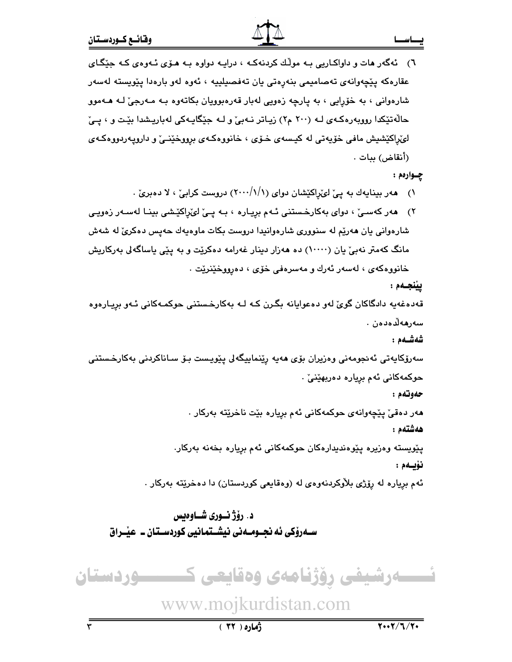٦) ئەگەر ھات و داواكـاريى بـه مولّك كردنەكـه ، درايـه دواوه بـه هـۆى ئـهوهى كـه جێگـاى عقارەكە پێچەوانەي تەصاميمى بنەرەتى يان تەفصىلييە ، ئەوە لەو بارەدا پێويستە لەسەر شارهوانی ، به خۆرايى ، به پارچه زەويى لەبار قەرەبوويان بكاتەوە بـه مـەرجىّ لـه ھـەموو حالّهتيکدا روويهرهکـهي لـه (٢٠٠ م٢) زيـاتر نـهبيّ و لـه جێگايـهکي لهباريـشدا بێـت و ، يـيّ لوټراکێشیش مافي خۆپەتى لە کیسەی خـۆی ، خانووەکـەی برووخێنـێ و داروپـەردووەکـەی (أنقاض) ببات .

چــوارەم :

- ۱) هەر بینایەك بە پیّ لوێڕاكێشان دوای (۱/ / ۲۰۰۰) دروست كرابیْ ، لا دەبریْ .
- ۲) هەر كەسىێ ، دواى بەكارخىستنى ئـەم برِيـارە ، بـە پـێ لىێراكێشى بينـا لەسـەر زەويـى شارهواني يان هەرپّم له سنووري شارهوانيدا دروست بكات ماوەپەك حەپس دەكرىّ لە شەش مانگ کهمتر نهبیؒ یان (۱۰۰۰۰) ده ههزار دینار غهرامه دهکرێت و به پێی یاساگهلی بهرکاریش خانووهکهی ، لهسهر ئهرك و مهسرهفی خۆی ، دهرووخێنرێت .

ييْنجـەم :

قەدەغەيە دادگاكان گوێ لەو دەعوايانە بگـرن كـه لـه بەكارخـستنى حوكمـەكانى ئـەو بريـارەوە سەرھەلدەدەن ،

شەشــەم :

سەرۆكايەتى ئەنجومەنى وەزيران بۆي ھەيە رێنماييگەلى يێويـست بـۆ سـاناكردنى بەكارخـستنى حوكمەكانى ئەم بريارە دەربھێنىٚ .

حەوتەم :

مەر دەقىٰ پێچەوانەي حوكمەكانى ئەم برِيارە بێت ناخرێتە بەركار .

هەشتەم :

يێويسته وەزيرە يێوەنديدارەكان حوكمەكانى ئەم بريارە بخەنە بەركار. نۆيىەم :

ئهم برياره له رۆژى بلاْوكردنەوەي له (وەقايعى كوردستان) دا دەخرێتە بەركار .

د. رۆژنـوري شــاوەبس ســهروٰکي ئه نجــومــه ني نيشــتمـانيي کوردســتان ــ عيْــراق



www.mojkurdistan.com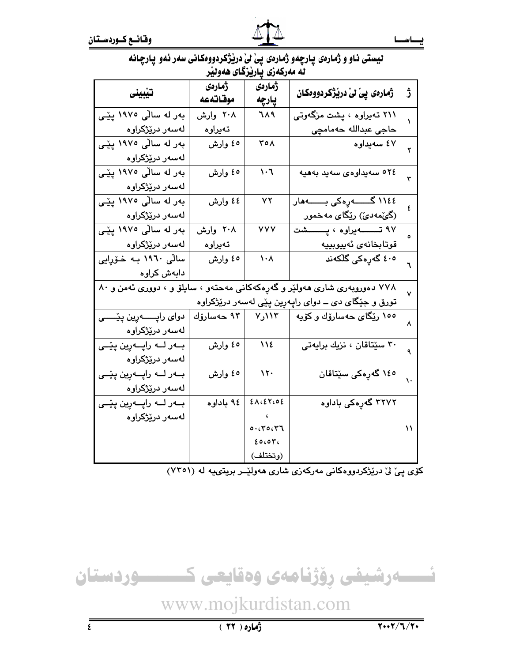| لیستی ناو و ژمارهی پارچهو ژمارهی پیْ لیْ دریْژگردووهکانی سهر ئهو پارچانه |  |  |
|--------------------------------------------------------------------------|--|--|
| له مەركەزى ياريزگاى ھەولير                                               |  |  |

| تيبينى                              | ژمارەى<br>موقاتهعه                                                           | ژمارەى                          | ژمارەى پىٰ لىٰ دريژگردووەكان                        | ڙ  |  |  |
|-------------------------------------|------------------------------------------------------------------------------|---------------------------------|-----------------------------------------------------|----|--|--|
| بەر لە سالْى ١٩٧٥ پێى               | ۲۰۸ وارش                                                                     | پارچه<br>719                    | ۲۱۱ تەيراوە ، پشت مزگەوتى                           |    |  |  |
| لەسەر درێژکراوە                     | تەيراوە                                                                      |                                 | حاجى عبدالله حەمامچى                                | ١  |  |  |
|                                     |                                                                              |                                 |                                                     |    |  |  |
| بەر لە سالّى ١٩٧٥ يێى               | ٥٤ وارش                                                                      | ۳٥٨                             | ٤٧ سەيداوە                                          | ۲  |  |  |
| لەسەر درێژکراوە                     |                                                                              |                                 |                                                     |    |  |  |
| بەر لە سالّى ١٩٧٥ پێى               | ٥٤ وارش                                                                      | $\mathcal{L} \cdot \mathcal{L}$ | ٥٢٤ سەيداوەى سەيد بەھيە                             | ٣  |  |  |
| لەسەر درێژکراوە                     |                                                                              |                                 |                                                     |    |  |  |
| بەر لە سالّى ١٩٧٥ پێى               | ٤٤ وارش                                                                      | ٧٢                              | ١١٤٤ گـــــــەرەكى بـــــــەھار                     | ٤  |  |  |
| لەسەر درێژکراوە                     |                                                                              |                                 | (گێٚمەدێٛ) رێۣگای مەخمور                            |    |  |  |
| بەر لە سالّى ١٩٧٥ پێى               | ۲۰۸ وارش                                                                     | <b>YYY</b>                      | ۹۷ تـــــــــــهیراوه ، پـــــــــشت                | ٥  |  |  |
| لەسەر درێژکراوە                     | تەيراوە                                                                      |                                 | قوتابخانەي ئەييوبييە                                |    |  |  |
| سالی ۱۹٦۰ بـه خـۆرايى               | ٥٤ وارش                                                                      | $\lambda \cdot \lambda$         | ٤٠٥ گەرِەكى گڵكەند                                  | ٦  |  |  |
| دابەش كراوە                         |                                                                              |                                 |                                                     |    |  |  |
|                                     | ۷۷۸ دهوروبهری شاری ههولیّر و گهرِهکهکانی مهحتهو ، سایلوّ و ، دووری ئهمن و ۸۰ |                                 |                                                     |    |  |  |
|                                     |                                                                              |                                 | تورق و جێگای دی ــ دوای راپهڕپن پێی لهسهر درێژکراوه | ٧  |  |  |
| دوای راپــــــــــــه پیٽـــــــــی |                                                                              |                                 | ۱۰۰ رێگای حەسارۆك و كۆيە     ۱۱۳ر۷     ۹۳ حەسارۆك   | ٨  |  |  |
| لەسەر درێڗٝکراوە                    |                                                                              |                                 |                                                     |    |  |  |
| ب1ر لـــه راپـــهږين پێــی          | ٥٤ وارش                                                                      | 11٤                             | ۳۰ سێتاقان ، نزیك برایهتی                           |    |  |  |
| لەسەر درێژکراوە                     |                                                                              |                                 |                                                     |    |  |  |
| ب1ر لـــه راپـــهږين پێـــى         | ه٤ وارش                                                                      | $\lambda \tau$                  | ۱ <mark>٤</mark> ٥ گەرەكى سێتاقان                   | ١. |  |  |
| لەسەر درێڗٝکراوە                    |                                                                              |                                 |                                                     |    |  |  |
| ب+ر لـــه راپـــهږين پێــی          | ۹٤ باداوه                                                                    | 2ACEYCOE                        | ۳۲۷۲ گەرەكى باداوە                                  |    |  |  |
| لەسەر درێژکراوە                     |                                                                              |                                 |                                                     |    |  |  |
|                                     |                                                                              | 0.0000000                       |                                                     | ۱۱ |  |  |
|                                     |                                                                              | 20007                           |                                                     |    |  |  |
|                                     |                                                                              | (وتختلف)                        |                                                     |    |  |  |

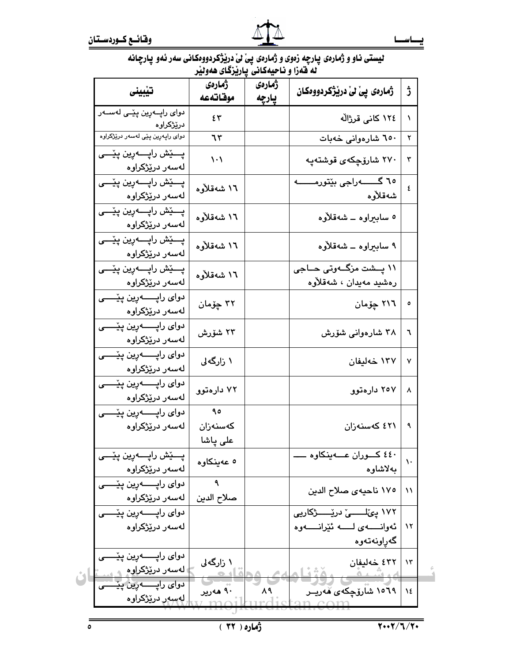| لیستی ناو و ژمارهۍ پارچه زهوی و ژمارهۍ پی ْلیْ دریْژْکردووهکانی سهر ئهو پارچانه |
|---------------------------------------------------------------------------------|
| له قەزا و ناحيەكانى پارێزگاى ھەولێر                                             |

|                                                                      | ژمارەي<br>موقاته عه           | ژمارەي<br>پارچه | ژمارەى پىٰ لىٰ دريژگردووەكان                                                  | ڗؙ           |
|----------------------------------------------------------------------|-------------------------------|-----------------|-------------------------------------------------------------------------------|--------------|
| دوای راپــهرِین پێـی لهســهر<br>درێڗ۫کراوه                           | ٤٣                            |                 | ١٢٤ كاني قرژالُه                                                              | A.           |
| دوای راپهږین پێی لهسهر درێژکراوه                                     | 75                            |                 | ٦٥٠ شارەوانى خەبات                                                            | ۲            |
| پـــێش راپــــهرين پێـــى<br>لەسەر درێژکراوە                         | $\backslash \cdot \backslash$ |                 | ۲۷۰ شارۆچكە <i>ى</i> قوشتەپە                                                  | ٣            |
| پـــێش راپـــــهرين پێــــى<br>لەسەر درێڗٝکراوە                      | ۱٦ شەقلأوە                    |                 | شەقلأوە                                                                       | ٤            |
| پـــێش راپـــــەرین پێــــی<br>لەسەر درێڗٝکراوە                      | ۱٦ شەقلأوە                    |                 | ٥ سابېراوه ــ شەقلأوه                                                         |              |
| پـــێش راپـــــهږين پێــــى<br>لەسەر درێژکراوە                       | ۱٦ شەقلأوە                    |                 | ۹ سابېراوه ــ شەقلاوە                                                         |              |
| پـــێش راپـــــهرين پێــــى<br>لەسەر درێڗٝکراوە                      | ۱٦ شەقلأوە                    |                 | ۱۱ پــشت مزگــهوتی حــاجی<br>رەشىيد مەيدان ، شەقلأوە                          |              |
| دوای رایـــــــــەرین پێــــــی<br>لەسەر درێژکراوە                   | ۳۲ چۆمان                      |                 | ٢١٦ چۆمان                                                                     | $\mathsf{o}$ |
| دوای رایـــــــــەرین پێــــــی<br>لەسەر درێڗٝکراوە                  | ۲۳ شۆرش                       |                 | ۳۸ شارەوانى شۆرش                                                              | ٦            |
| دواي راپــــــــــهرين پێـــــــي<br>لەسەر درێڗٝکراوە                | ۱ زارگەلى                     |                 | ۱۳۷ خەليفان                                                                   | ۷            |
| دوای رایــــــــــهرین پێـــــــی<br>لەسەر درێڗٝکراوە                | ۷۲ دارهتوو                    |                 | ۲۰۷ دارهتوو                                                                   | ٨            |
| لەسەر درێڗٝکراوە                                                     | 90<br>كەسنەزان<br>على پاشا    |                 | ٤٢١ كەسنەزان                                                                  | ٩            |
| پـــێش راپــــهږين پێــــى<br>لەسەر درێڗٝکراوە                       | ٥ عەينكاوە                    |                 | ٤٤٠ کـــوران عـــــهينکاوه .<br>بەلاشاوە                                      | $\lambda$    |
| دوای رایــــــــــهرین پێـــــــی<br>  لەسەر درێڗٝکراوە              | ٩<br>صلاح الدين               |                 | ١٧٥ ناحيهى صلاح الدين                                                         | $\lambda$    |
| لەسەر درێژکراوە                                                      |                               |                 | ۱۷۲ ییٚلــــــی دریےـــــــژکاریی<br>ئەوانىسەي لىسە ئۆرانىسەوە<br>گەراونەتەوە | $\lambda$    |
| لهسهر درێ <del>ژ</del> کراوه<br>دوای راپــــــه <i>پین</i> پێــــــی | ۱ زارگەلى                     |                 | ٤٣٢ خەليفان                                                                   | $\lambda$ ۳  |
| ِ لهسهر درێژکراوه                                                    | ۹۰ هەرير                      | ۸۹              | ۱۵٦۹ شارۆچكەي قەريــر                                                         | $\lambda$ ٤  |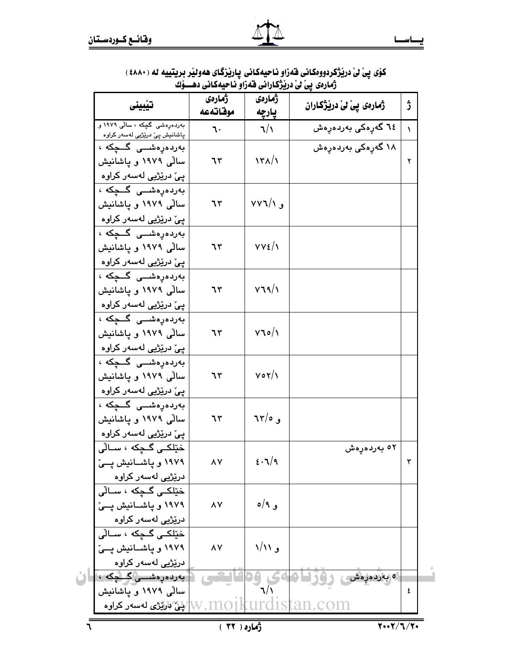| تيبينى                                                                  | ژمارەي<br>موقاته عه | ژمارەى<br>پارچه                          | ژمارەى پى لىٰ دريْژكاران    | ڗ |
|-------------------------------------------------------------------------|---------------------|------------------------------------------|-----------------------------|---|
| بەردەرەشى گچكە ، سالى ١٩٧٩ و<br>پاشانیش پیّ در <u>ێژب</u> ی لهسهر کراوه | ٦٠                  | 7/1                                      | ٦٤ گەرەكى بەر <i>د</i> ەرەش | ١ |
| بەردەرەشىى گىچكە ،                                                      |                     |                                          | ۱۸ گەرەكى بەردەرەش          |   |
| سالی ۱۹۷۹ و پاشانیش                                                     | ٦٣                  | $\frac{1}{\sqrt{2}}$                     |                             | ٢ |
| پێ٘ درێڗٝیی لهسهر کراوه                                                 |                     |                                          |                             |   |
| بەردەرەشىى گىچكە ،                                                      |                     |                                          |                             |   |
| سالی ۱۹۷۹ و پاشانیش                                                     | ٦٣                  | $VV$ و ۱/۲                               |                             |   |
| پیٚ درێژیی لهسهر کراوه                                                  |                     |                                          |                             |   |
| بەردەرەشىى گىچكە ،                                                      |                     |                                          |                             |   |
| سالی ۱۹۷۹ و یاشانیش                                                     | ٦٣                  | $VVE/\gamma$                             |                             |   |
| پێ٘ درێڗٝیی لهسهر کراوه                                                 |                     |                                          |                             |   |
| بەردەرەشىى گىچكە ،                                                      |                     |                                          |                             |   |
| سالی ۱۹۷۹ و پاشانیش                                                     | ٦٣                  | V39/1                                    |                             |   |
| پیٚ درێڗٝیی لهسهر کراوه                                                 |                     |                                          |                             |   |
| بەردەرەشىى گىچكە ،                                                      |                     |                                          |                             |   |
| سالی ۱۹۷۹ و یاشانیش                                                     | ٦٣                  | $V$ $\circ / \circ$                      |                             |   |
| پێ٘ درێڗٝیی لهسهر کراوه                                                 |                     |                                          |                             |   |
| بەردەرەشىى گىچكە ،                                                      |                     |                                          |                             |   |
| سالی ۱۹۷۹ و پاشانیش                                                     | ٦٣                  | $V \circ Y/\lambda$                      |                             |   |
| پیٚ درێڗٝیی لهسهر کراوه                                                 |                     |                                          |                             |   |
| بەردەرەشىى گىچكە ،                                                      |                     |                                          |                             |   |
| سالی ۱۹۷۹ و یاشانیش                                                     | ٦٣                  | و ٦٣/٥                                   |                             |   |
| پیٚ درێژیی لهسهر کراوه                                                  |                     |                                          |                             |   |
| خێلکـی گـچکه ، ســاڵی                                                   | ۸۷                  | $\epsilon \cdot \mathcal{I}/\mathcal{I}$ | <sup>0۲</sup> بەردەرەش      | ٣ |
| ۱۹۷۹ و پاشــانیش پــیّ<br>درێڗٝیی لەسەر کراوە                           |                     |                                          |                             |   |
| خێلکے گچکه ، سالّی                                                      |                     |                                          |                             |   |
| ۱۹۷۹ و یاشــانیش یــیّ                                                  | ٨Y                  | و ۹/ه                                    |                             |   |
| درێژیی لەسەر کراوە                                                      |                     |                                          |                             |   |
| خێلکـی گـچکه ، سـالّی                                                   |                     |                                          |                             |   |
| ۱۹۷۹ و یاشانیش یئ                                                       | ۸Y                  | و ۱/۱۱                                   |                             |   |
| درێڗٝڀي لهسهر کراوه                                                     |                     |                                          |                             |   |
| [ بەردەرەشىسى گىچكە ، ]                                                 |                     |                                          | ە بەردەرەش                  |   |
| سالی ۱۹۷۹ و یاشانیش                                                     |                     |                                          |                             | ٤ |
| لایل کولان کوټنو له سه ر $\sim 1001$                                    |                     |                                          | turdistan.com               |   |

# كۆي بىر درىقگەدەۋەكەنى قەزاۋ ئاچىەكەنى بىلەنزگاي ھەۋىل بويتىنە ئە (٤٨٨٠)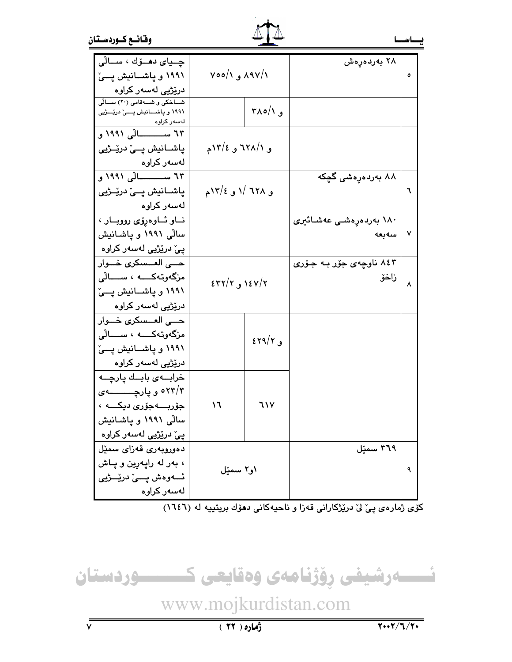| وقائسع كسوردستان |  |
|------------------|--|
|                  |  |



| چــياى دهــۆك ، ســالى                        |                  |                   | ۲۸ بەردەرەش                    |           |
|-----------------------------------------------|------------------|-------------------|--------------------------------|-----------|
| ۱۹۹۱ و پاشسانیش پی                            | ۸۹۷/۱ و ۷۰۰/۱    |                   |                                | ٥         |
| درێڗٝیی لهسهر کراوه                           |                  |                   |                                |           |
| شاخکی و شهقامی (۲۰) سالی                      |                  | و ۲۸۰/۱           |                                |           |
| ۱۹۹۱ و پاشسانیش پسیّ دریِّسژیی<br>لەسەر كراوە |                  |                   |                                |           |
| ٦٣ ســـــــــالی ١٩٩١ و                       |                  |                   |                                |           |
| پاشــانيش پــێ درێــژيى                       | و ۱/۱۲/۱ و ۱۲/۲م |                   |                                |           |
| لەسەر كراوە                                   |                  |                   |                                |           |
| ٦٣ ســـــــــالی ١٩٩١ و                       |                  |                   | ۸۸ بەردەرەشى گچكە              |           |
| پاشــانيش پــێ درێــژيى                       | و ٦٢٨ /١ و ١٢/٤م |                   |                                | ٦         |
| لەسەر كراوە                                   |                  |                   |                                |           |
| ناو ئاوەرۆى رووبار                            |                  |                   | ۱۸۰ بەردەرەشى عەشائ <u>ىرى</u> |           |
| سالی ۱۹۹۱ و پاشانیش                           |                  |                   | سەبعە                          | ٧         |
| پی٘ درێڗٝیی لهسهر کراوه                       |                  |                   |                                |           |
| حـــى العــسكر <i>ى</i> خـــوار               |                  |                   | ۸٤۳ ناوچەی جۆر بـه جـۆرى       |           |
| مزگەوتەكــــە ، ســــالْى                     |                  |                   | زاخۆ                           | $\lambda$ |
| ۱۹۹۱ و پاشسانیش پسیّ                          | ۱٤٧/۲ و ٤٣٢/٢    |                   |                                |           |
| درێژیی لهسهر کراوه                            |                  |                   |                                |           |
| حـــى العــسكر <i>ى</i> خـــوار               |                  |                   |                                |           |
| مزگەوتەكــــە ، ســــالّى                     |                  | $\epsilon$ و ۲۹/۲ |                                |           |
| ۱۹۹۱ و پاشسانیش پسیّ                          |                  |                   |                                |           |
| درێڗٝۑؠ لەسەر كراوە                           |                  |                   |                                |           |
| خرابىهى بابىك يارجىه                          |                  |                   |                                |           |
| ۲۳/۳ و پارچــــــــــه                        |                  |                   |                                |           |
| جۆربــــەجۆرى دېكــــە ،                      | ۱٦               | ٦١٧               |                                |           |
| سالّی ۱۹۹۱ و یاشانیش                          |                  |                   |                                |           |
| پێ درێڗٝیی لهسهر کراوه                        |                  |                   |                                |           |
| دەوروبەرى قەزاي سمێل                          |                  |                   | ۳٦٩ سمێل                       |           |
| ، بەر لە راپەرين و پـاش                       |                  |                   |                                |           |
| ئــــەوەش پــــىٰ درێــــژيى                  | ۱و۲ سمێل         |                   |                                |           |
| لەسەر كراوە                                   |                  |                   |                                |           |



www.mojkurdistan.com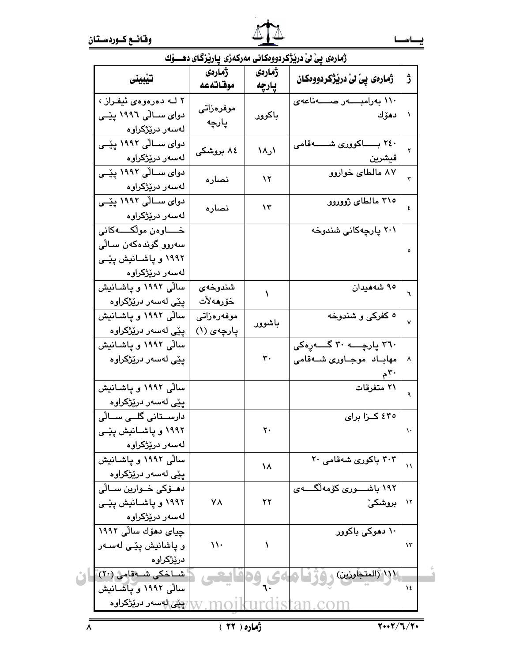|                                    |                     |                 | زمارەی يى ئى دريزگردووەكانى مەركەرى ياريزگای دھــوك |           |
|------------------------------------|---------------------|-----------------|-----------------------------------------------------|-----------|
|                                    | ژمارەي<br>موقاته عه | ژمارەى<br>يارچه | ژمارەى پىٰ لىٰ دريژگردووەكان                        | ڑ         |
| ۲ لــه دهرهوهي ئيفـراز ،           |                     |                 | ۱۱۰ بەرامبــــــەر صـــــــەناعەی                   |           |
| دوای ســالّی ۱۹۹۶ پیّــی           | موفرەزاتى           | باكوور          | دھۆك                                                |           |
| لەسەر درێژکراوە                    | پارچه               |                 |                                                     |           |
| دوای ســالّی ۱۹۹۲ پیّــی           |                     | ۱۸٫۱            | ۲٤۰ بــــــاكوورى شــــــــهقامى                    | ۲         |
| لەسەر درێژکراوە                    | ۸٤ بروشکی           |                 | قيشرين                                              |           |
| دوای ســالّی ۱۹۹۲ ییّــی           |                     | $\mathcal{N}$   | ۸۷ مالطای خواروو                                    | ٣         |
| لەسەر درێژکراوە                    | نصاره               |                 |                                                     |           |
| دوای ســالّی ۱۹۹۲ پیّــی           | نصاره               | ۱۳              | ۳۱۰ مالطای ژووروو                                   | ٤         |
| لەسەر درێڗٝکراوە                   |                     |                 |                                                     |           |
| خــــــاوەن مولْكــــــــەكانى     |                     |                 | ۲۰۱ پارچەكانى شندوخە                                |           |
| سەروو گوندەكەن سالى                |                     |                 |                                                     | ٥         |
| ۱۹۹۲ و پاشیانیش پیّی               |                     |                 |                                                     |           |
| لەسەر درێژکراوە                    |                     |                 |                                                     |           |
| سالی ۱۹۹۲ و یاشانیش                | شندوخەي             | ١               | ۹٥ شەھيدان                                          | ٦         |
| پێی لهسهر درێژکراوه                | خۆرھەلات            |                 |                                                     |           |
| سالی ۱۹۹۲ و پاشانیش                | موفەرەزاتى          | باشوور          | ٥ کفرکي و شندوخه                                    | ٧         |
| پێی لهسهر درێژکراوه                | یارچەی (۱)          |                 |                                                     |           |
| سالی ۱۹۹۲ و یاشانیش                |                     |                 | ٣٦٠ پارچــــه ٣٠ گـــــه رهکی                       |           |
| پێی لهسهر درێژکراوه                |                     | ٣٠              | مهاباد موجاوری شـهقامی                              | $\lambda$ |
|                                    |                     |                 | $\mathcal{F}^{\mathcal{F}}$ م                       |           |
| سالی ۱۹۹۲ و پاشانیش                |                     |                 | ۲۱ متفرقات                                          |           |
| پێی لهسهر درێڗٝکراوه               |                     |                 |                                                     |           |
| دارســتانی گلــی ســالّی           |                     |                 | ٤٣٥ كـزا براي                                       |           |
| ۱۹۹۲ و یاشــانیش پێــی             |                     | ۲۰              |                                                     | ١٠        |
| لەسەر درێڗٝکراوە                   |                     |                 |                                                     |           |
| سالی ۱۹۹۲ و یاشانیش                |                     | ١٨              | ۲۰۳ باکوری شهقامی ۲۰                                | ۱۱        |
| يێی لهسهر درێژکراوه                |                     |                 |                                                     |           |
| دھــۆكى خــوارين ســالّى           |                     |                 | ۱۹۲ باشـــــوری کۆمەلگــــــەی                      |           |
| ۱۹۹۲ و پاشـانیش پێـی               | ۷۸                  | ۲۲              | <b>بروشکی</b> ٗ                                     | $\lambda$ |
| لەسەر درێڗٝکراوە                   |                     |                 |                                                     |           |
| چياى دهۆك سالى ١٩٩٢                |                     |                 | ۱۰ دهوکی باکوور                                     |           |
| و ياشانيش يێی لهسـهر               | $\mathcal{N}$       | ١               |                                                     | ۱۳        |
| درێڗ۬ؼراوه                         |                     |                 |                                                     |           |
| شــاخكي شــەقامى (٢٠)              |                     | 64 ، وەقايىتى   | ا (المتجاوزين) وفيزل                                |           |
| سالی ۱۹۹۲ و پاشانیش                |                     |                 |                                                     | ١٤        |
| <del>) بیٽے</del> الهسهر درێژکراوه |                     |                 |                                                     |           |

### $\alpha$  $d\vec{r}$  $\overline{1}$ ۷ شم  $\mathbf{v}$   $\bullet$   $\mathbf{v}$ من مد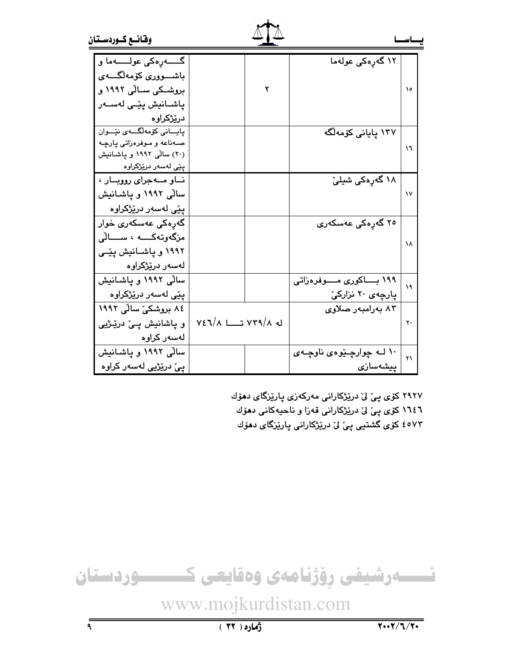| وقائسع كسوردستان |
|------------------|
|------------------|

| گـــــــــهږهکي عولـــــــــهما و |                                          | ۱۲ گەرەكى عولەما             |              |
|-----------------------------------|------------------------------------------|------------------------------|--------------|
| باشـــــووری کۆمەلگــــــەی       |                                          |                              |              |
| بروشىكى سىالى ١٩٩٢ و              |                                          |                              | ١٥           |
| پاشــانيش پێــی لهســهر           |                                          |                              |              |
| درێڗ۫کراوه                        |                                          |                              |              |
| يايــانى كۆمەلگـــەى نێــوان      |                                          | ۱۳۷ پایانی کۆمەلگە           |              |
| صـهناعه و مـوفرهزاتي يارچـه       |                                          |                              | ۱٦           |
| (۲۰) سالی ۱۹۹۲ و پاشانیش          |                                          |                              |              |
| پِيّى لەسەر درێِژكراوە            |                                          |                              |              |
| ناو مەجراى رووبار ،               |                                          | ۱۸ گەرەكى شىلىّ              |              |
| سالی ۱۹۹۲ و پاشـانیش              |                                          |                              | $\mathsf{v}$ |
| پێی لەسەر درێژکراوە               |                                          |                              |              |
| گەرەكى عەسكەرى خوار               |                                          | ۲۵ گەرەكى عەسكەرى            |              |
| مزگەوتەكــــە ، ســــالْي         |                                          |                              | ۱۸           |
| ۱۹۹۲ و پاشـانیش پێـی              |                                          |                              |              |
| لەسەر درێژکراوە                   |                                          |                              |              |
| سالی ۱۹۹۲ و یاشانیش               |                                          | ۱۹۹ بــــاکوری مــــوفرهزاتی | ۱۹           |
| پێی لهسهر درێژکراوه               |                                          | پارچەي ۲۰ نزاركىّ            |              |
| ۸٤ بروشکی سالی ۱۹۹۲               |                                          | ۸۳ بەرامبەر صلاوى            |              |
| و پاشانيش پـێ درێـژيې             | $V\epsilon \sqrt{N}$ له ۷۳۹/۸ تــــا ۷٤٦ |                              | ۲۰           |
| لەسەر كراوە                       |                                          |                              |              |
| سالی ۱۹۹۲ و پاشانیش               |                                          | ۱۰ لــه چوارچـێوهى ناوچــهى  | ۲۱           |
| پیٚ درێژیی لهسهر کراوه            |                                          | ييشەساز <i>ى</i>             |              |

۲۹۲۷ کۆی پیْ لیْ دری٘ژکارانی مەرکەزی پاری٘زگای دھۆك ١٦٤٦ کۆی پیّ لیّ دریْژکارانی قەزا و ناحیەکانی دھۆك

٤٥٧٣ کۆی گشتیی پیّ لیّ درێژکارانی پارێزگای دهۆك

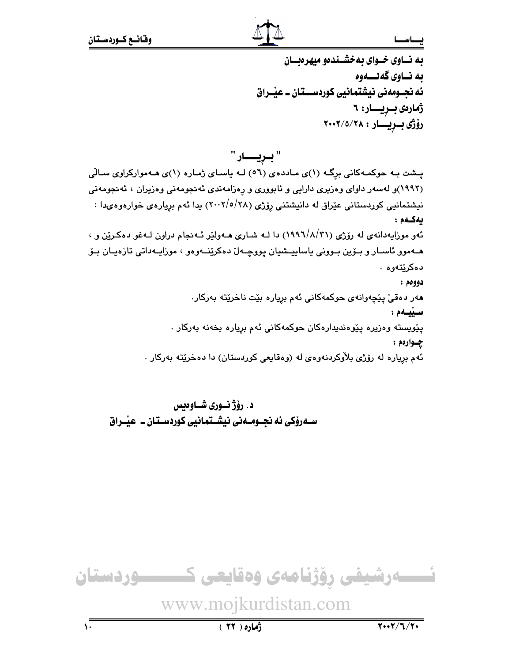به نساوی خسوای به خشیندهو میهره بسان ىه نــاوى گەنــــەوە ئه نجــومەنى نيشتمانيى كوردســـتان ــ عيْــراق ژمارەى بىريسار: ٦ رۆژى بىريسار : ٢٠٠٢/٥/٢٠٠٢

یشت به حوکمهکانی برگ (۱)ی ماددهی (٥٦) لـه یاسای ژماره (۱)ی هـهموارکراوی سـالّی (۱۹۹۲)و لهسهر داوای وهزیری دارایی و ئابووری و رِهزامهندی ئهنجومهنی وهزیران ، ئهنجومهنی نیشتمانیی کوردستانی عیّراق له دانیشتنی رِوّژی (۲۸/۰/۱/۵/۲۸) یدا ئهم برِیارهی خوارهوهیدا : بەكـەم: ئهو مورايهدانهي له رۆژي (١٩٩٦/٨/٣١) دا لـه شـاري هــهولێر ئــهـنجام دراون لــهغو دهكـرێن و ، هـهموو ئاسـار و بـۆين بـوونى ياساييــشيان پووچــهلّ دەكرێنــهوەو ، موزايـهداتى تازەيـان بـۆ دەكرنتەوە . دوومم : مەر دەقىٰ يێچەوانەي حوكمەكانى ئەم بريارە بێت ناخرێتە بەركار. سييمم : يێويسته وەزيرە يێوەندىدارەكان حوكمەكانى ئەم بريارە بخەنە بەركار . چـوارەم :

ئهم برياره له رۆژى بلاْوكردنەوەي لە (وەقايعى كوردستان) دا دەخرێتە بەركار .

د. رۆژنـورى شـاوەىس سـهروْکي ئه نجــومــهني نيشــتمانيي کوردســتان ــ عيْــراق

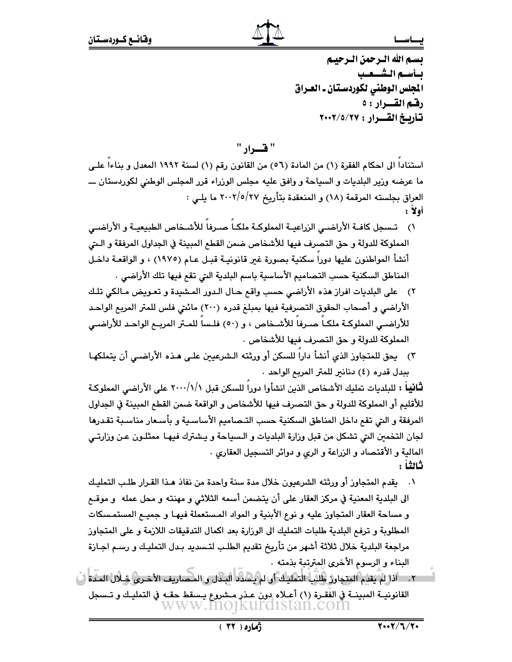تسم الله الترجمن الترجينم بسأسته الششيعيب الجلس الوطني لكوردستان ـ العـراق رفشه القسرار : ٥ تأريخ القرار : ٢٠٠٢/٥/٢٠٠٢

" ف) اد

استنادا الى احكام الفقرة (١) من المادة (٥٦) من القانون رقم (١) لسنة ١٩٩٢ المعدل و بناءا على ما عرضه وزير البلديات و السياحة و وافق عليه مجلس الوزراء قرر المجلس الوطني لكوردستان ــــ العراق بجلسته المرقمة (١٨) و المنعقدة بتأريخ ٢٧/٥/٢٧ ما يلي : أولا :

- ١) تـسجل كافــة الأراضــي الزراعيــة المملوكــة ملكــاً صــرفاً للأشــخاص الطبيعيــة و الأراضــي المملوكة للدولة و حق التصرف فيها للأشخاص ضمن القطع المبينة في الجداول المرفقة و الـتي أنشأ المواطنون عليها دورا سكنية بصورة غير قانونيـة قبـل عـام (١٩٧٥) ، و الواقعـة داخـل المناطق السكنية حسب التصاميم الأساسية باسم البلدية التي تقع فيها تلك الأراضي .
- ٢) على البلديات افراز هذه الأراضي حسب واقع حـال الـدور المشيدة و تعـويض مـالكي تلـك الأراضي و أصحاب الحقوق التصرفية فيها بمبلغ قدره (٢٠٠) مائتي فلس للمتر المربع الواحد للأراضـي المملوكــة ملكــا صــرفا للأشــخاص ، و (٥٠) فلـسا للمــتر المريــع الواحـد للأراضــي المملوكة للدولة و حق التصرف فيها للأشخاص .
- ٢) يحق للمتجاوز الذي أنشأ داراً للسكن أو ورثته الـشرعيين علـى هـذه الأراضـي أن يتملكهـا ببدل قدره (٤) دنانير للمتر المربع الواحد .

**ثَانياً :** للبلديات تمليك الأشخاص الذين انشأوا دوراً للسكن قبل ٢٠٠٠/١/\ على الأراضي المملوكة للأقليم أو المملوكة للدولة و حق التصرف فيها للأشخاص و الواقعة ضمن القطع المبينة في الجداول المرفقة و التي تقع داخل المناطق السكنية حسب التـصاميم الأساسـية و بأسـعار مناسـبة تقـدرها لجان التخمين التي تشكل من قبل وزارة البلديات و الـسياحة و يـشترك فيهـا ممثلـون عـن وزارتـي المالية و الأقتصاد و الزراعة و الري و دوائر التسجيل العقاري . ثالثاً :

- ١. يقدم المتجاوز أو ورثته الشرعيون خلال مدة سنة واحدة من نفاذ هـذا القـرار طلـب التمليـك الى البلدية المعنية في مركز العقار على أن يتضمن أسمه الثلاثي و مهنته و محل عمله و موقــع و مساحة العقار المتجاوز عليه و نوع الأبنية و المواد المستعملة فيهـا و جميـع المستمـسكات المطلوبة و ترفع البلدية طلبات التمليك الى الورارة بعد اكمال التدقيقات اللازمة و على المتجاوز مراجعة البلدية خلال ثلاثة أشهر من تأريخ تقديم الطلب لتـسديد بـدل التمليـك و رسـم اجـازة البناء و الرسوم الأخرى المترتبة بذمته .
- ٢. \_ اذا لمْ يقدم المتجاوز طلبٌ التمليك أو لم يسلاد البـدل و المحماريف الأخـري خـلال المـدة ابْ القانونيــة المبينــة في الفقـرة (١) أعــلاه دون عــذر مــشروع يـسقط حقــه في التمليـك و تــسجل www.mo1kurd1stan.com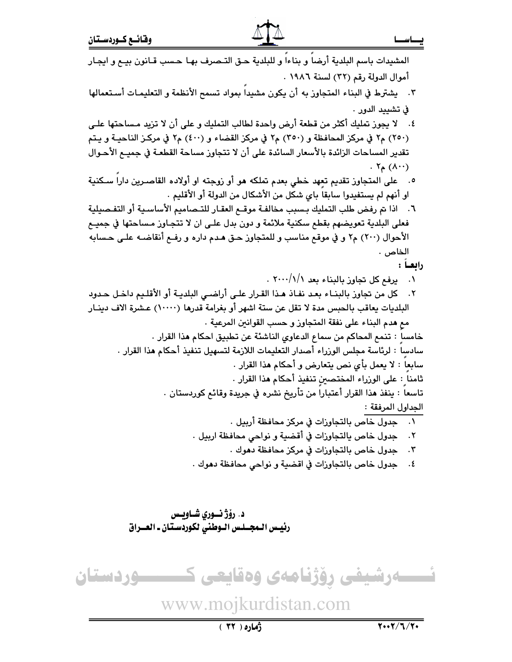### نــــاســـا

أموال الدولة رقم (٣٢) لسنة ١٩٨٦ . ٢. يشترط في البناء المتجاوز به أن يكون مشيداً بمواد تسمح الأنظمة و التعليمـات أسـتعمالها في تشييد الدور . ٤. لا يجوز تمليك أكثر من قطعة أرض واحدة لطالب التمليك و على أن لا تزيد مساحتها علـى (٢٥٠) م٢ في مركز المحافظة و (٣٥٠) م٢ في مركز القضاء و (٤٠٠) م٢ في مركز الناحيـة و يـتم تقدير المساحات الزائدة بالأسعار السائدة على أن لا تتجاوز مساحة القطعـة في جميـم الأحـوال  $\cdot$   $\mathcal{N}_{\mathsf{A}}(\Lambda \cdot \cdot)$ ٥. على المتجاوز تقديم تعِهد خطي بعدم تملكه هو أو زوجته او أولاده القاصـرين داراً سـكنية او أنهم لم يستفيدوا سابقاً باي شكل من الأشكال من الدولة أو الأقليم . ٦. اذا تم رفض طلب التمليك بسبب مخالفة موقـم العقـار للتـصاميم الأساسـية أو التفـصيلية فعلي البلدية تعويضهم بقطع سكنية ملائمة و دون بدل علـي ان لا تتجـاوز مـساحتها في جميـع الأحوال (٢٠٠) م٢ و في موقع مناسب و للمتجاوز حـق هـدم داره و رفـع أنقاضـه علـى حـسابه الخاص . رابعاً : ٠١ يرفع كل تجاوز بالبناء بعد ٠١/١/١/١٠ ٢. كل من تجاوز بالبنـاء بعـد نفـاذ هـذا القـرار علـى أراضـى البلديـة أو الأقلـيم داخـل حـدود البلديات يعاقب بالحبس مدة لا تقل عن ستة اشهر أو بغرامة قدرها (١٠٠٠٠) عـشرة الاف دينـار مع هدم البناء على نفقة المتجاوز و حسب القوانين المرعية . خامسا : تنمع المحاكم من سماع الدعاوى الناشئة عن تطبيق احكام هذا القرار . سادساً : لرئاسة مجلس الورراء أصدار التعليمات اللازمة لتسهيل تنفيذ أحكام هذا القرار . سابعا : لا يعمل بأى نص يتعارض و أحكام هذا القرار . ثامنا : على الوزراء المختصين تنفيذ أحكام هذا القرار . تاسعاً : ينفذ هذا القرار أعتباراً من تأريخ نشره في جريدة وقائع كوردستان . الجداول المرفقة : ٠١ جدول خاص بالتجاوزات في مركز محافظة أربيل . جدول خاص بالتجاوزات في أقضية و نواحي محافظة اربيل .  $\cdot$   $\cdot$   $\mathsf{r}$ ٣. جدول خاص بالتجاوزات في مركز محافظة دهوك . ٤. حدول خاص بالتجاوزات في اقضية و نواحي محافظة دهوك . د. رؤژ نــوري شـاويـس رئيس الـمجــلـس الــوطني لكوردسـتان ـ العــراق نسسه رشیفی رؤژنامهی وهقایعی ک ــــوردستان www.mojkurdistan.com  $7.17/7.77$  $(51)$   $\delta$ 

المشيدات باسم البلدية أرضاً و بناءا و للبلدية حـق التـصرف بهـا حـسب قـانون بيـع و ايجـار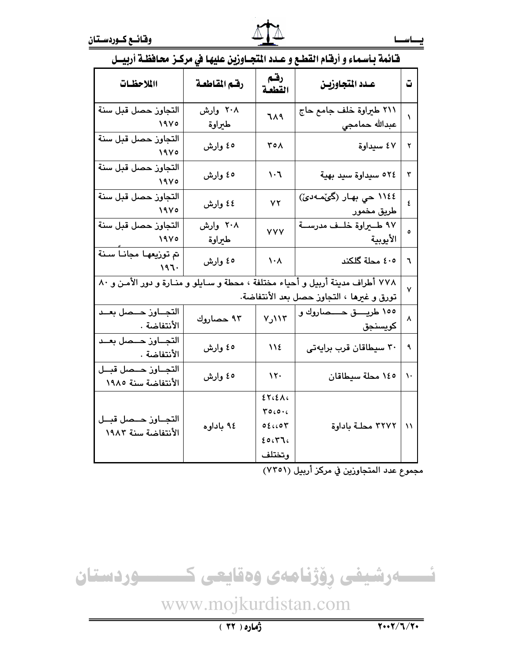| ورين عيپه تي مرسر مناسسه اربيس                                                                                               |                    |                                                        | شانغه پاسخان و ارتبام استشع و بشده        |               |
|------------------------------------------------------------------------------------------------------------------------------|--------------------|--------------------------------------------------------|-------------------------------------------|---------------|
| االملاحظات                                                                                                                   | رقم المقاطعة       | رقم<br>القطعة                                          | عدد المتجاوزيـن                           | ق             |
| التجاوز حصل قبل سنة<br>1900                                                                                                  | ۲۰۸ وارش<br>طيراوة | 719                                                    | ٢١١ طيراوة خلف جامع حاج<br>عبدالله حمامجي | ١             |
| التجاوز حصل قبل سنة<br>$\sqrt{9}$                                                                                            | ٥٤ وارش            | ۲٥۸                                                    | ٤٧ سيداوة                                 | ۲             |
| التجاوز حصل قبل سنة<br>1900                                                                                                  | ٥٤ وارش            | $\mathcal{N} \cdot \mathcal{J}$                        | ٥٢٤ سيداوة سيد بهية                       | ٣             |
| التجاوز حصل قبل سنة<br>1900                                                                                                  | ٤٤ وارش            | YY                                                     | ١١٤٤ حي بهار (گێمەدێ)<br>طريق مخمور       | ٤             |
| التجاوز حصل قبل سنة<br>$\sqrt{9}$                                                                                            | ۲۰۸ وارش<br>طبراوة | <b>YYY</b>                                             | ۹۷ طــيراوة خلــف مدرســة<br>الأيوبية     | $\circ$       |
| تم توزيعها مجانا سنة<br>۱۹٦۰                                                                                                 | ٥٤ وارش            | $\lambda \cdot \lambda$                                | ٤٠٥ محلة گلكند                            | ٦             |
| ٧٧٨ أطراف مدينة أربيل و أحياء مختلفة ، محطة و سـايلو و منـارة و دور الأمـن و ٨٠<br>تورق و غيرها ، التجاوز حصل بعد الأنتفاضة. |                    |                                                        |                                           | $\mathsf{v}$  |
| التجـــاوز حـــصل بعــد<br>الأنتفاضة .                                                                                       | ٩٣ حصاروك          | ١١٣ر٧                                                  | ١٥٥ طريــــق حــــصاروك و<br>كويسنجق      | ٨             |
| التجــاوز حــمىل بعــد<br>الأنتفاضة .                                                                                        | ٥٤ وارش            | 112                                                    | ۳۰ سیطاقان قرب برایهتی                    | ٩             |
| التجـاوز حــمل قبــل<br>الأنتفاضة سنة ١٩٨٥                                                                                   | ٥٤ وارش            | $\lambda \tau$                                         | ١٤٥ محلة سيطاقان                          | $\mathcal{L}$ |
| التجــاوز حــمىل قبــل<br>الأنتفاضة سنة ١٩٨٣                                                                                 | ۹٤ باداوه          | ET <sub>4</sub><br>700006<br>05004<br>20.57.<br>وتختلف | ٣٢٧٢ محلة باداوة                          | $\lambda$     |

# فَائِمةِ بِأَسْمَاءِ و أَرْقَامِ القَطْعِ وَ عَبْدِ الْمُتَحَيَّاوِزْيِنْ عِلْيَهَا فِي مِركِنٍ مَحَافِظَةِ أربسا

مجموع عدد المتجاوزين في مركز أربيل (٧٣٥١)

ئــــــەرشيفى رِۆژنامەى وەقايعى كـــــــــوردستان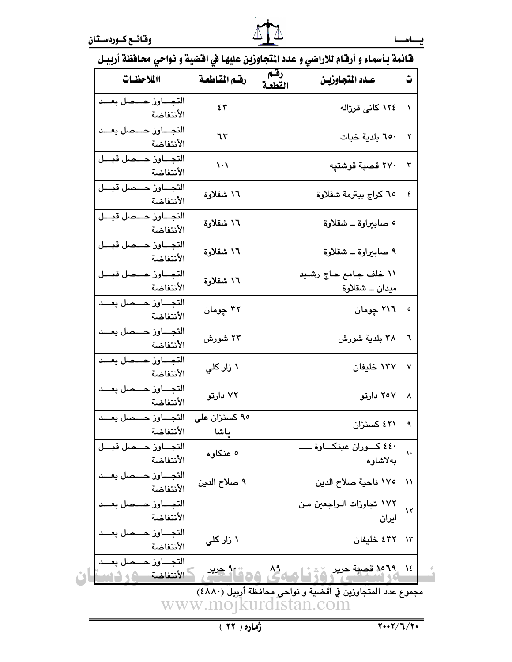## قيائمة بأسماء و أرقيام للإراضي و عدد المتحاوزين عليها في اقضية و نواحي محافظة أربيل

| االملاحظات                                    | رقم المقاطعة                  | رقم<br>القطعة | عـدد المتجاوزيـن                        | ت              |
|-----------------------------------------------|-------------------------------|---------------|-----------------------------------------|----------------|
| التجـــاوز حـــصل بعـــد<br>الأنتفاضة         | ٤٣                            |               | ١٢٤ كانى قرژاله                         | ١              |
| التجاوز حصصل بعد<br>الأنتفاضة                 | ٦٣                            |               | ٦٥٠ بلدية خبات                          | ٢              |
| التجـــاوز حـــصل قبـــل<br>الأنتفاضة         | $\backslash \cdot \backslash$ |               | ٢٧٠ قصبة قوشتپه                         | ٣              |
| التجــاوز حــمل قبــل<br>الأنتفاضة            | ۱٦ شقلاوة                     |               | ٦٥ كراج بيترمة شقلاوة                   | ٤              |
| التجاوز حصا قبل<br>الأنتفاضة                  | ۱٦ شقلاوة                     |               | ٥ صابيراوة _ شقلاوة                     |                |
| التجـــاوز حـــصل قبـــل<br>الأنتفاضة         | ۱٦ شقلاوة                     |               | ۹ صابيراوة ــ شقلاوة                    |                |
| التجاوز حــمل قبــل<br>الأنتفاضة              | ١٦ شقلاوة                     |               | ۱۱ خلف جامع حاج رشید<br>ميدان ــ شقلاوة |                |
| التجــــاون حــــصل بعـــد<br>الأنتفاضة       | ۳۲ چومان                      |               | ۲۱٦ چومان                               | ٥              |
| التجــــاون حــــصل بعـــد<br>الأنتفاضة       | ۲۳ شورش                       |               | ۳۸ بلدية شورش                           | ٦              |
| التجــــاوز حــــصل بعـــد<br>الأنتفاضة       | ۱ زار کل <i>ی</i>             |               | ۱۳۷ خلیفان                              | ٧              |
| التجـــاوز حــــصل بعـــد<br>الأنتفاضة        | ۷۲ دارتو                      |               | ۲٥۷ دارتو                               | ٨              |
| التجــــاون حــــصل بعــــد<br>الأنتفاضة      | ۹۰ کسنزان علی<br>ىاشا         |               | ٤٢١ كسنزان                              | ٩              |
| التجاوز حهمل قبل<br>الأنتفاضة                 | ٥ عنكاوه                      |               | ٤٤٠ کـــوران عينکـــاوة ــ<br>بەلاشاوە  | ١.             |
| التجــــاون حــــصل بعــــد<br>الأنتفاضة      | ۹ صلاح الدين                  |               | ١٧٥ ناحية صلاح الدين                    | ۱۱             |
| التجـــاوز حــــصل بعـــد<br>الأنتفاضة        |                               |               | ١٧٢ تجاوزات الـراجعين مـن<br>ایران      | $\lambda$      |
| التجاون حصصل بعد<br>الأنتفاضة                 | ۱ زار کل <i>ی</i>             |               | ٤٣٢ خليفان                              | $\lambda \tau$ |
| التجــــاون حــــصل بعــــد<br>الأنتفاضة كم ك | <u>رو اگر جرير</u>            | $\frac{1}{2}$ | .1۹% قصية حرير <sub>الأن</sub> ية ا     | $\lambda$      |

مجموع عدد المتجاوزين في أقضية و نواحي محافظة أربيل (٤٨٨٠)<br>مجموع عدد المتجاوزين في أقضية و نواحي محافظة أربيل (WWW.MOJKUrdistan.com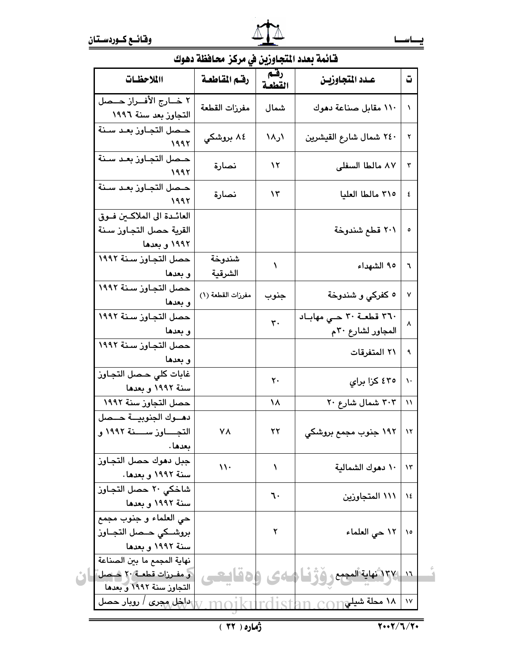

шL

# قَائِمة بعدد المُتحاوزين في مركز محافظة دهوك

| االلاحظات                                                                           | رقم المقاطعة      | بدرين ي مرسر معدد<br>رقتم<br>القطعة | عـدد المتجاوزيـــن                               | ت              |
|-------------------------------------------------------------------------------------|-------------------|-------------------------------------|--------------------------------------------------|----------------|
| ٢ خـــارج الأفـــراز حـــصل<br>التجاوز بعد سنة ١٩٩٦                                 | مفرزات القطعة     | شمال                                | ١١٠ مقابل صناعة دهوك                             | N              |
| حصل التجاوز بعد سنة<br>1995                                                         | ۸٤ بروشکي         | ۱ر۱۸                                | ٢٤٠ شمال شارع القيشرين                           | ۲              |
| حـصل التجـاوز بعـد سـنة<br>1992                                                     | نصارة             | ۱۲                                  | ۸۷ مالطا السفلی                                  | ٣              |
| حـصل التجـاون بعـد سـنة<br>۱۹۹۲                                                     | نصارة             | ۱۳                                  | ٣١٥ مالطا العليا                                 | ٤              |
| العائدة الى الملاكين فوق<br>القرية حصل التجاوز سنة<br>۱۹۹۲ و بعدها                  |                   |                                     | ۲۰۱ قطع شندوخة                                   | ٥              |
| حصل التجاوز سنة ١٩٩٢<br>و بعدها                                                     | شندوخة<br>الشرقية | ١                                   | ٩٥ الشهداء                                       | ٦              |
| حصل التجاوز سنة ١٩٩٢<br>و بعدها                                                     | مفرزات القطعة (١) | جنوب                                | ٥ کفرکی و شندوخة                                 | ٧              |
| حصل التجاوز سنة ١٩٩٢<br>و بعدها                                                     |                   | $\mathbf{r}$ .                      | ٣٦٠ قطعــة ٣٠ حــى مهابــاد<br>المجاور لشارع ٣٠م | ۸              |
| حصل التجاوز سنة ١٩٩٢<br>و بعدها                                                     |                   |                                     | ٢١ المتفرقات                                     | ٩              |
| غابات كلى حـصل التجـاوز<br>سنة ۱۹۹۲ و بعدها                                         |                   | ٢٠                                  | ٤٣٥ کزا برای                                     | $\lambda$      |
| حصل التجاوز سنة ١٩٩٢                                                                |                   | ١٨                                  | ۲۰۳ شمال شارع ۲۰                                 | $\lambda$      |
| دهوك الجنوبية حلصل<br>التجـــــاوز ســــــنة ١٩٩٢ و<br>بعدها .                      | ۷۸                | ۲۲                                  | ۱۹۲ جنوب مجمع بروشکي                             | $\lambda$      |
| جبل دهوك حصل التجاوز<br>سنة ١٩٩٢ و بعدها.                                           | $\mathcal{U}$     | ١                                   | ١٠ دهوك الشمالية                                 | $\lambda \tau$ |
| شاخكى ٢٠ حصل التجاوز<br>سنة ١٩٩٢ و بعدها                                            |                   | ٦٠                                  | ١١١ المتجاوزين                                   | ١٤             |
| حي العلماء و جنوب مجمع<br>بروشــكي حــصل التجــاوز<br>سنة ۱۹۹۲ و بعدها              |                   | ۲                                   | ١٢ حي العلماء                                    | $\lambda$      |
| نهاية المجمع ما بين الصناعة<br> و مفرزات قطعـة ٢٠ حـصل]<br>التجاوز سنة ١٩٩٢ و بعدها |                   | 64                                  | <u>١٦  ٢٧ (شماية المجمع رؤؤ فـا</u>              |                |
| ا <i>داخل مجری   ر</i> وبار حصل                                                     |                   |                                     | $\cap$ ۱۸ مطة شيلۍ $\cap$                        | $\mathcal{N}$  |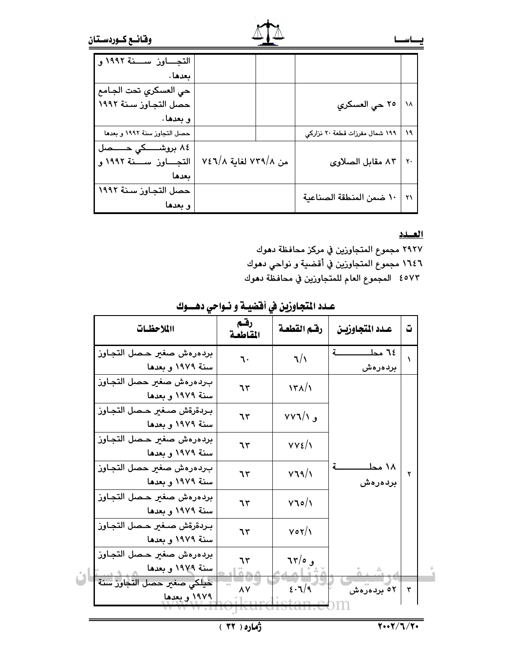| التجـــاوز ســــنة ١٩٩٢ و    |                      |                                |    |
|------------------------------|----------------------|--------------------------------|----|
| بعدها .                      |                      |                                |    |
| حي العسكري تحت الجـامع       |                      |                                |    |
| حصل التجاوز سنة ١٩٩٢         |                      | ٢٥ حي العسكري                  | ۱۸ |
| و بعدها.                     |                      |                                |    |
| حصل التجاوز سنة ١٩٩٢ و بعدها |                      | ۱۹۹ شمال مفرزات قطعة ۲۰ نزاركي | ۱۹ |
| ۸٤ بروشــــکی حـــــصل       |                      |                                |    |
| التجــــاوز ســــنة ١٩٩٢ و   | من ٧٤٦/٨ لغاية ٧٤٦/٨ | ۸۳ مقابل الصلاوی               | ٢٠ |
| ىعدھا                        |                      |                                |    |
| حصل التجاوز سنة ١٩٩٢         |                      |                                | ۲۱ |
| و بعدها                      |                      | ١٠ ضمن المنطقة الصناعية        |    |

### العسدد

٢٩٢٧ مجموع المتجاوزين في مركز محافظة دهوك ١٦٤٦ مجموع المتجاوزين في أقضية و نواحي دهوك ٤٥٧٣ - المجموع العام للمتجاوزين في محافظة دهوك

|  |  |  | عـدد المتجاوزين في أفضيــة و نــواحي دهــــوك |  |
|--|--|--|-----------------------------------------------|--|
|--|--|--|-----------------------------------------------|--|

| االملاحظات                                       | رقهم<br>المقاطعة | رقم القطعة                    | عـدد المتجاوزيـن      | ت |
|--------------------------------------------------|------------------|-------------------------------|-----------------------|---|
| بردهرهش صغير حصل التجاوز<br>سنة ١٩٧٩ و بعدها     | ٦٠               | 7/1                           | ۲٤ مط<br>بردەرەش      | ١ |
| بردهرهش صغير حصل التجاوز<br>سنة ١٩٧٩ و بعدها     | ٦٣               | $\binom{1}{1}$                |                       |   |
| بردةرةش صغير حصل التجاوز<br>سنة ١٩٧٩ و بعدها     | ٦٣               | $VV1/\sqrt{2}$                |                       |   |
| بردهرهش صغير حصل التجاوز<br>سنة ١٩٧٩ و بعدها     | ٦٣               | $VVE/\gamma$                  |                       |   |
| بردهرهش صغير حصل التجاوز<br>سنة ١٩٧٩ و بعدها     | ٦٣               | V19/1                         | ۱۸ محلـ<br>بردەرەش    | ۲ |
| بردهرهش صغير حصل التجاوز<br>سنة ١٩٧٩ و بعدها     | ٦٣               | $V$ $\circ / \circ$           |                       |   |
| بـردةرةش صـغير حـصل التجـاوز<br>سنة ١٩٧٩ و بعدها | ٦٣               | $V \circ Y/\lambda$           |                       |   |
| بردهرهش صغير حصل التجاوز<br>سنة ١٩٧٩ و بعدها     | ٦٣               | $75/0$ و                      |                       |   |
| خيلكي صغير حصل التجاوز سنة<br>١٩٧٩ و بعدها       | ٨Y               | $\epsilon \cdot \mathbf{1}/9$ | <sup>0۲</sup> بردهرهش | ٣ |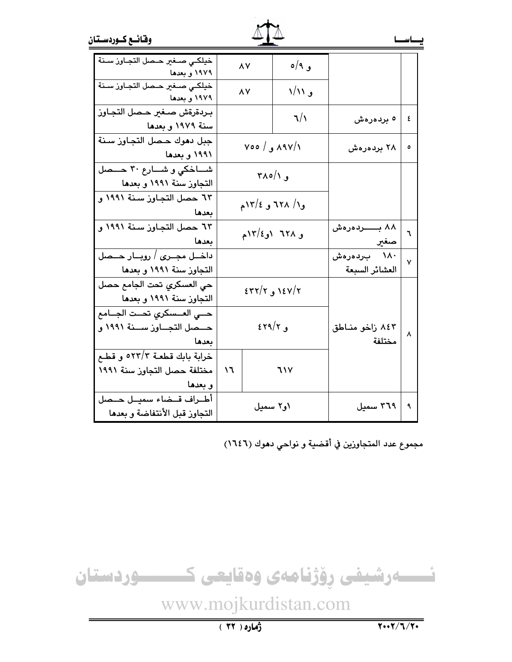|  | وقائسع كسوردستان |
|--|------------------|
|  |                  |

| خيلكي صغير حصل التجاوز سنة<br>۱۹۷۹ و بعدها                              |                   | ٨Y       | و ۹/ه                     |                               |   |
|-------------------------------------------------------------------------|-------------------|----------|---------------------------|-------------------------------|---|
| خيلكى صىغير حىصل التجاوز سىنة<br>۱۹۷۹ و بعدها                           |                   | ٨Y       | و ۱/۱۱                    |                               |   |
| بردةرةش صغير حصل التجاوز<br>سنة ۱۹۷۹ و بعدها                            |                   |          | 7/1                       | <sup>ه</sup> بردەرەش          | ٤ |
| جبل دهوك حصل التجاوز سنة<br>۱۹۹۱ و بعدها                                |                   |          | ۸۹۷/۱ و/ ۷۰۰              | ۲۸ بردهرهش                    | ٥ |
| شاخكي و شارع ٣٠ حـمل<br>التجاوز سنة ١٩٩١ و بعدها                        | و ۲۸۰/۱           |          |                           |                               |   |
| ٦٣ حصل التجاوز سنة ١٩٩١ و<br>بعدها                                      | و۱/ ۱۲۸ و ۱۲/۶م   |          |                           |                               |   |
| ٦٣ حصل التجاوز سنة ١٩٩١ و<br>بعدها                                      | و ٦٢٨ او١٢/٤م     |          | ۸۸ بـــــــردەرەش<br>صغير | ٦                             |   |
| داخــل مجــری / رویـــار حـــصل<br>التجاوز سنة ١٩٩١ و بعدها             |                   |          |                           | ۱۸۰ بردەرەش<br>العشائر السبعة | ٧ |
| حى العسكرى تحت الجامع حصل<br>التجاوز سنة ١٩٩١ و بعدها                   |                   |          | $\epsilon$ ۲/۲ و ۲۲/۲ د   |                               |   |
| حسى العسكري تحست الجسامع<br>حـــصل التجـــاوز ســــنة ١٩٩١ و<br>بعدها   | $\epsilon$ و ۲۹/۲ |          | ۸٤۳ زاخو مناطق<br>مختلفة  | ٨                             |   |
| خرابة بابك قطعـة ٥٢٣/٣ و قطـع<br>مختلفة حصل التجاوز سنة ١٩٩١<br>و بعدها | ۱٦                |          | <b>717</b>                |                               |   |
| أطـراف قــضاء سميــل حــصل<br>التجاوز قبل الأنتفاضة و بعدها             |                   | ۱و۲ سمیل |                           | ۳٦٩ سميل                      | ٩ |

مجموع عدد المتجاوزين في أقضية و نواحي دهوك (١٦٤٦)